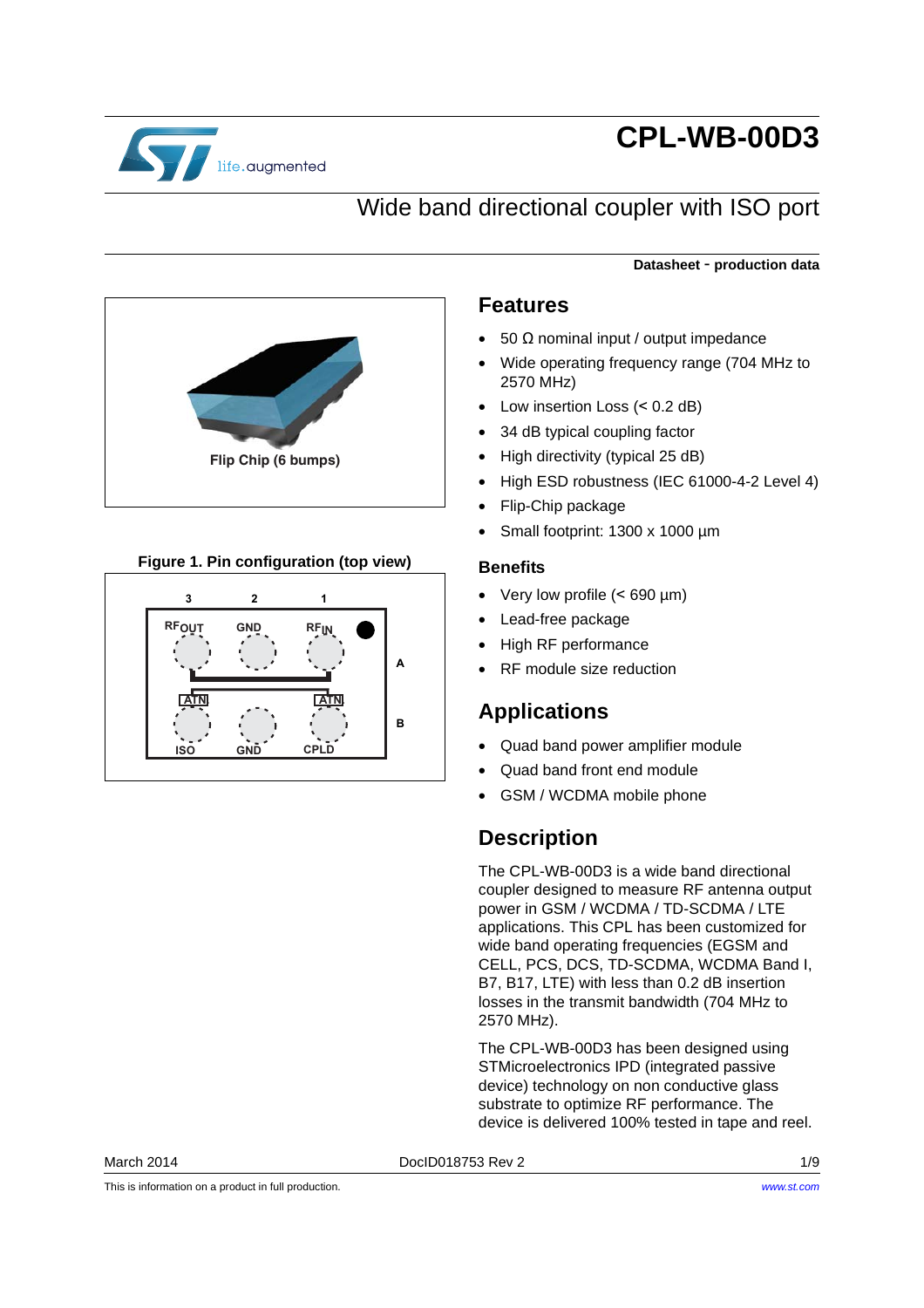

# **CPL-WB-00D3**

## Wide band directional coupler with ISO port



#### **Figure 1. Pin configuration (top view)**



### **Datasheet** - **production data**

#### <span id="page-0-0"></span>**Features**

- 50 Ω nominal input / output impedance
- Wide operating frequency range (704 MHz to 2570 MHz)
- Low insertion Loss (< 0.2 dB)
- 34 dB typical coupling factor
- High directivity (typical 25 dB)
- High ESD robustness (IEC 61000-4-2 Level 4)
- Flip-Chip package
- Small footprint: 1300 x 1000 µm

#### **Benefits**

- Very low profile (< 690 µm)
- Lead-free package
- High RF performance
- RF module size reduction

#### **Applications**

- Quad band power amplifier module
- Quad band front end module
- GSM / WCDMA mobile phone

## **Description**

The CPL-WB-00D3 is a wide band directional coupler designed to measure RF antenna output power in GSM / WCDMA / TD-SCDMA / LTE applications. This CPL has been customized for wide band operating frequencies (EGSM and CELL, PCS, DCS, TD-SCDMA, WCDMA Band I, B7, B17, LTE) with less than 0.2 dB insertion losses in the transmit bandwidth (704 MHz to 2570 MHz).

The CPL-WB-00D3 has been designed using STMicroelectronics IPD (integrated passive device) technology on non conductive glass substrate to optimize RF performance. The device is delivered 100% tested in tape and reel.

March 2014 DocID018753 Rev 2 1/9

This is information on a product in full production.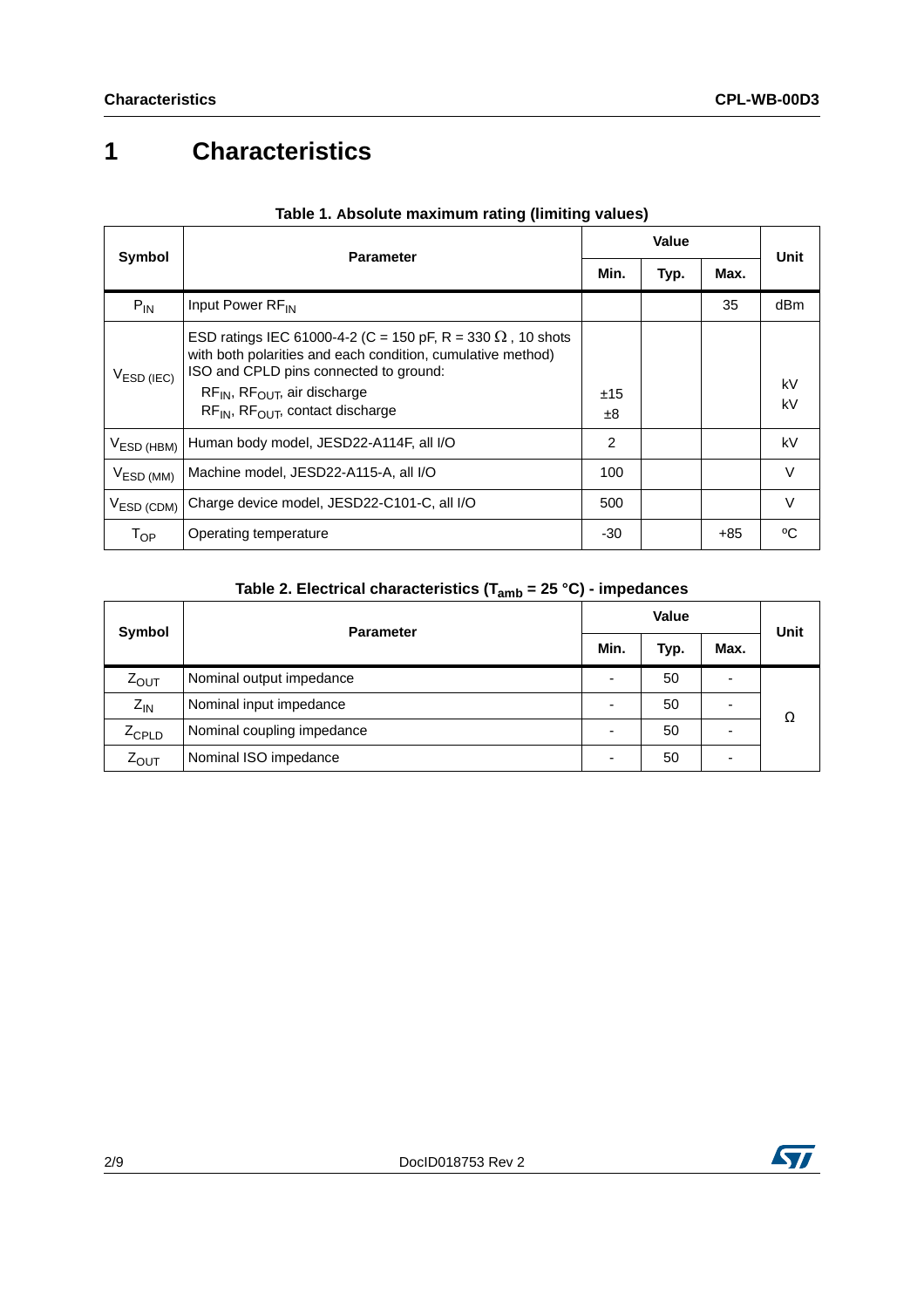# **1 Characteristics**

| Symbol                 | <b>Parameter</b>                                                                                                                                                                                                                                                      |           | Value |       |          |
|------------------------|-----------------------------------------------------------------------------------------------------------------------------------------------------------------------------------------------------------------------------------------------------------------------|-----------|-------|-------|----------|
|                        |                                                                                                                                                                                                                                                                       |           | Typ.  | Max.  | Unit     |
| $P_{IN}$               | Input Power RF <sub>IN</sub>                                                                                                                                                                                                                                          |           |       | 35    | dBm      |
| V <sub>ESD</sub> (IEC) | ESD ratings IEC 61000-4-2 (C = 150 pF, R = 330 $\Omega$ , 10 shots<br>with both polarities and each condition, cumulative method)<br>ISO and CPLD pins connected to ground:<br>$RF_{IN}$ , $RF_{OUIT}$ , air discharge<br>$RF_{IN}$ , $RF_{OUIT}$ , contact discharge | ±15<br>±8 |       |       | kV<br>kV |
| $VESD$ (HBM)           | Human body model, JESD22-A114F, all I/O                                                                                                                                                                                                                               | 2         |       |       | kV       |
| V <sub>ESD (MM)</sub>  | Machine model, JESD22-A115-A, all I/O                                                                                                                                                                                                                                 | 100       |       |       | $\vee$   |
| $VESD$ (CDM)           | Charge device model, JESD22-C101-C, all I/O                                                                                                                                                                                                                           | 500       |       |       | $\vee$   |
| $T_{OP}$               | Operating temperature                                                                                                                                                                                                                                                 | $-30$     |       | $+85$ | °C.      |

#### **Table 1. Absolute maximum rating (limiting values)**

## **Table 2. Electrical characteristics (Tamb = 25 °C) - impedances**

| Symbol            | <b>Parameter</b>                 | <b>Value</b> |                          |      | <b>Unit</b> |
|-------------------|----------------------------------|--------------|--------------------------|------|-------------|
|                   |                                  |              | Typ.                     | Max. |             |
| $Z_{\text{OUT}}$  | Nominal output impedance         |              | 50                       | -    |             |
| $Z_{IN}$          | Nominal input impedance          |              | 50                       |      | Ω           |
| $Z_{\text{CPLD}}$ | Nominal coupling impedance<br>50 |              | $\overline{\phantom{0}}$ |      |             |
| $Z_{OUT}$         | Nominal ISO impedance            |              | 50                       | ۰    |             |

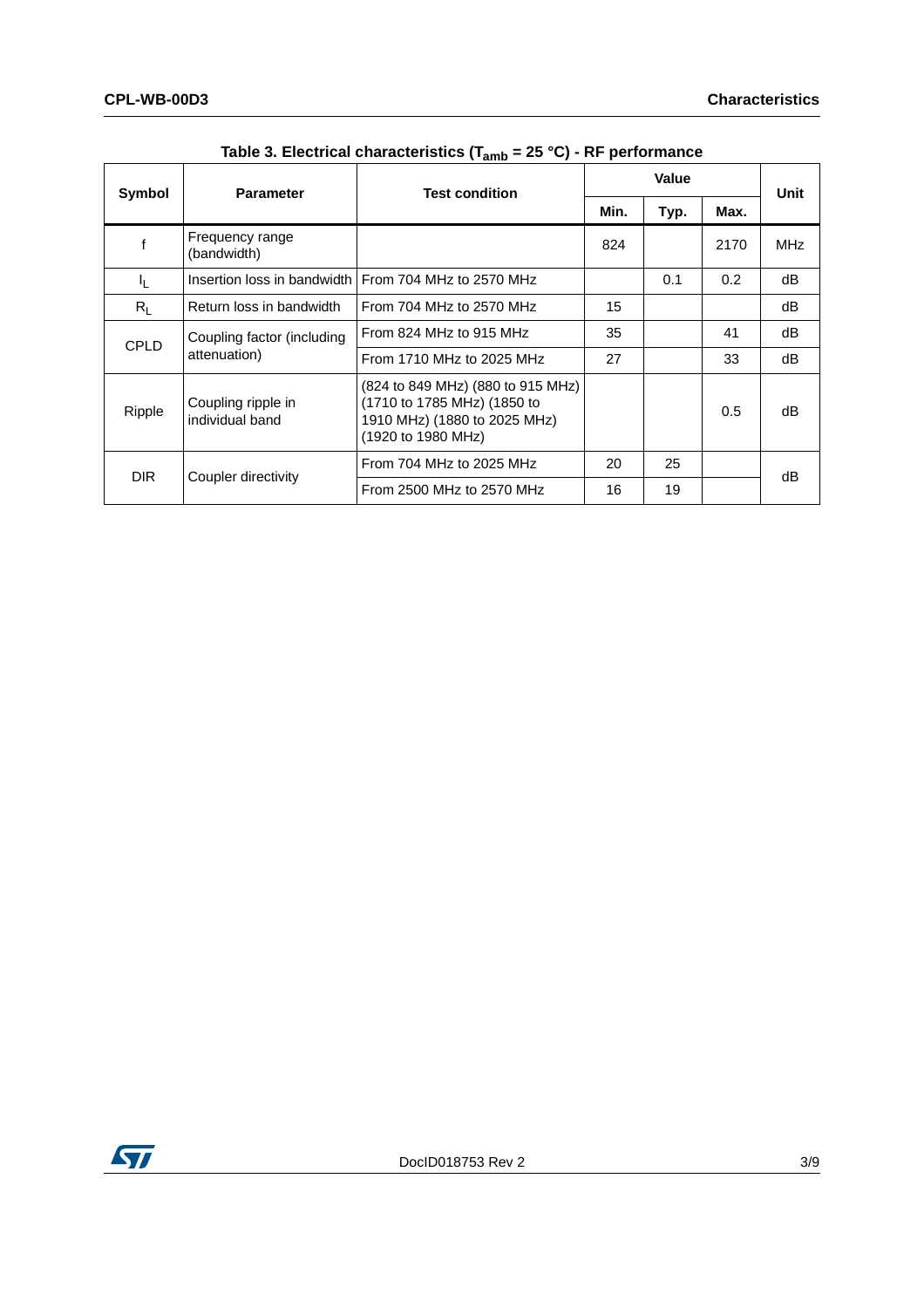<span id="page-2-0"></span>

| Symbol         | <b>Parameter</b>                           | <b>Test condition</b>                                                                                                  | Value |      |      | Unit       |
|----------------|--------------------------------------------|------------------------------------------------------------------------------------------------------------------------|-------|------|------|------------|
|                |                                            |                                                                                                                        | Min.  | Typ. | Max. |            |
|                | Frequency range<br>(bandwidth)             |                                                                                                                        | 824   |      | 2170 | <b>MHz</b> |
| I <sub>L</sub> |                                            | Insertion loss in bandwidth From 704 MHz to 2570 MHz                                                                   |       | 0.1  | 0.2  | dB         |
| $R_L$          | Return loss in bandwidth                   | From 704 MHz to 2570 MHz                                                                                               | 15    |      |      | dB         |
| <b>CPLD</b>    | Coupling factor (including<br>attenuation) | From 824 MHz to 915 MHz                                                                                                | 35    |      | 41   | dB         |
|                |                                            | From 1710 MHz to 2025 MHz                                                                                              | 27    |      | 33   | dB         |
| Ripple         | Coupling ripple in<br>individual band      | (824 to 849 MHz) (880 to 915 MHz)<br>(1710 to 1785 MHz) (1850 to<br>1910 MHz) (1880 to 2025 MHz)<br>(1920 to 1980 MHz) |       |      | 0.5  | dB         |
| DIR.           | Coupler directivity                        | From 704 MHz to 2025 MHz                                                                                               | 20    | 25   |      | dB         |
|                |                                            | From 2500 MHz to 2570 MHz                                                                                              | 16    | 19   |      |            |

**Table 3. Electrical characteristics (Tamb = 25 °C) - RF performance**

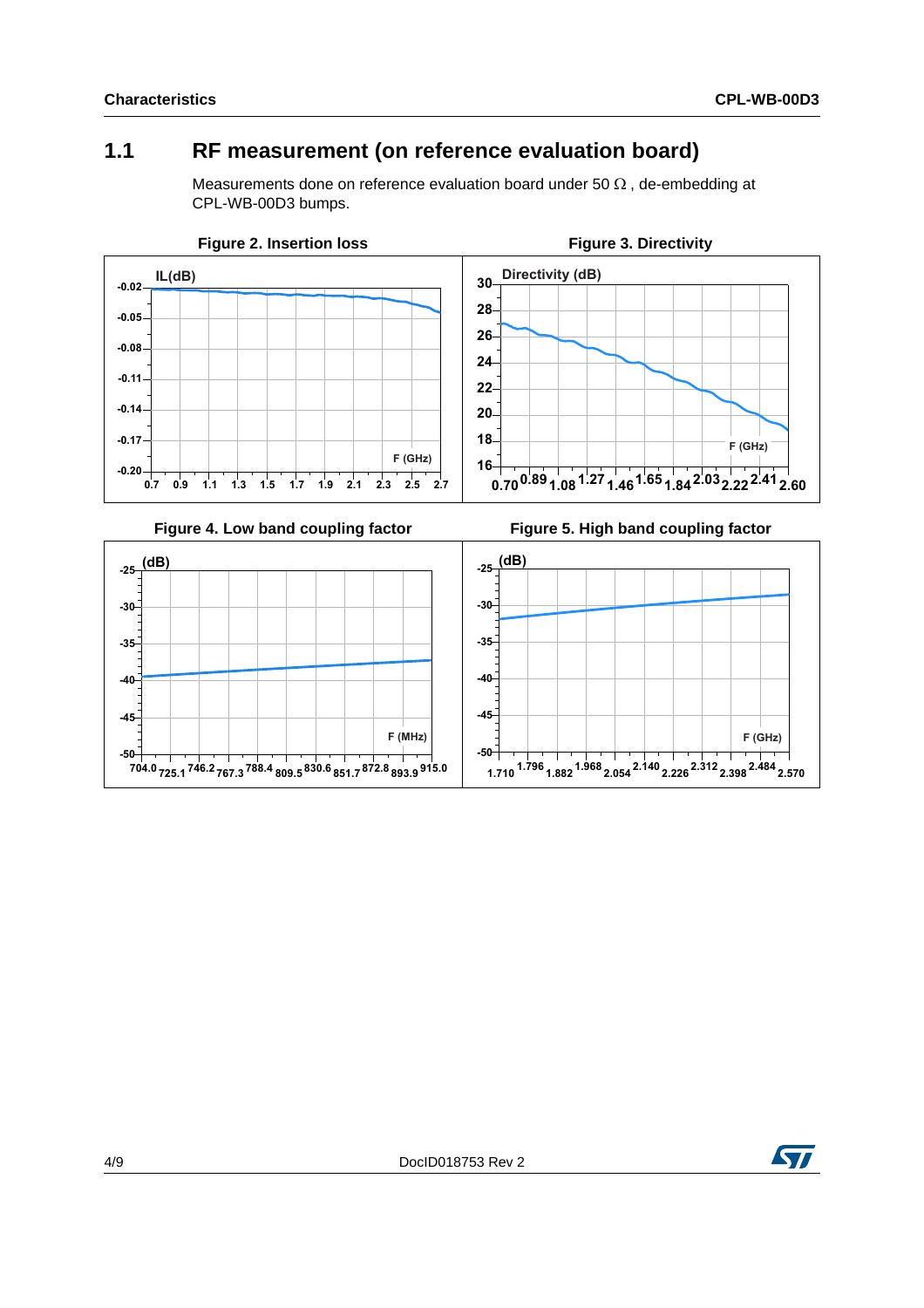**F** (GHz)

## **1.1 RF measurement (on reference evaluation board)**

<span id="page-3-1"></span>Measurements done on reference evaluation board under 50  $\Omega$ , de-embedding at CPL-WB-00D3 bumps.

<span id="page-3-0"></span>

<span id="page-3-2"></span>

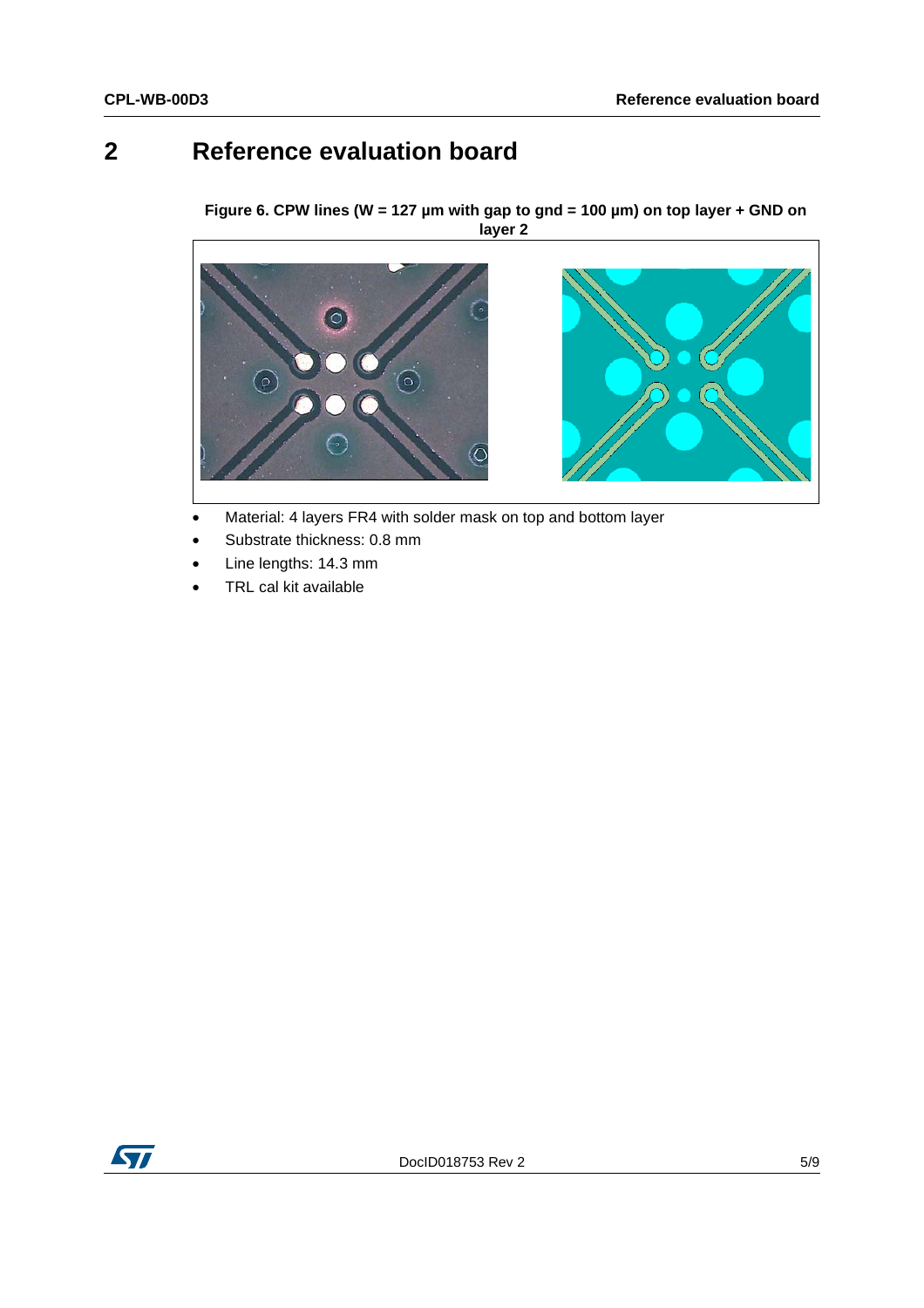## **2 Reference evaluation board**

**Figure 6. CPW lines (W = 127 µm with gap to gnd = 100 µm) on top layer + GND on layer 2** 



- Material: 4 layers FR4 with solder mask on top and bottom layer
- Substrate thickness: 0.8 mm
- Line lengths: 14.3 mm
- TRL cal kit available

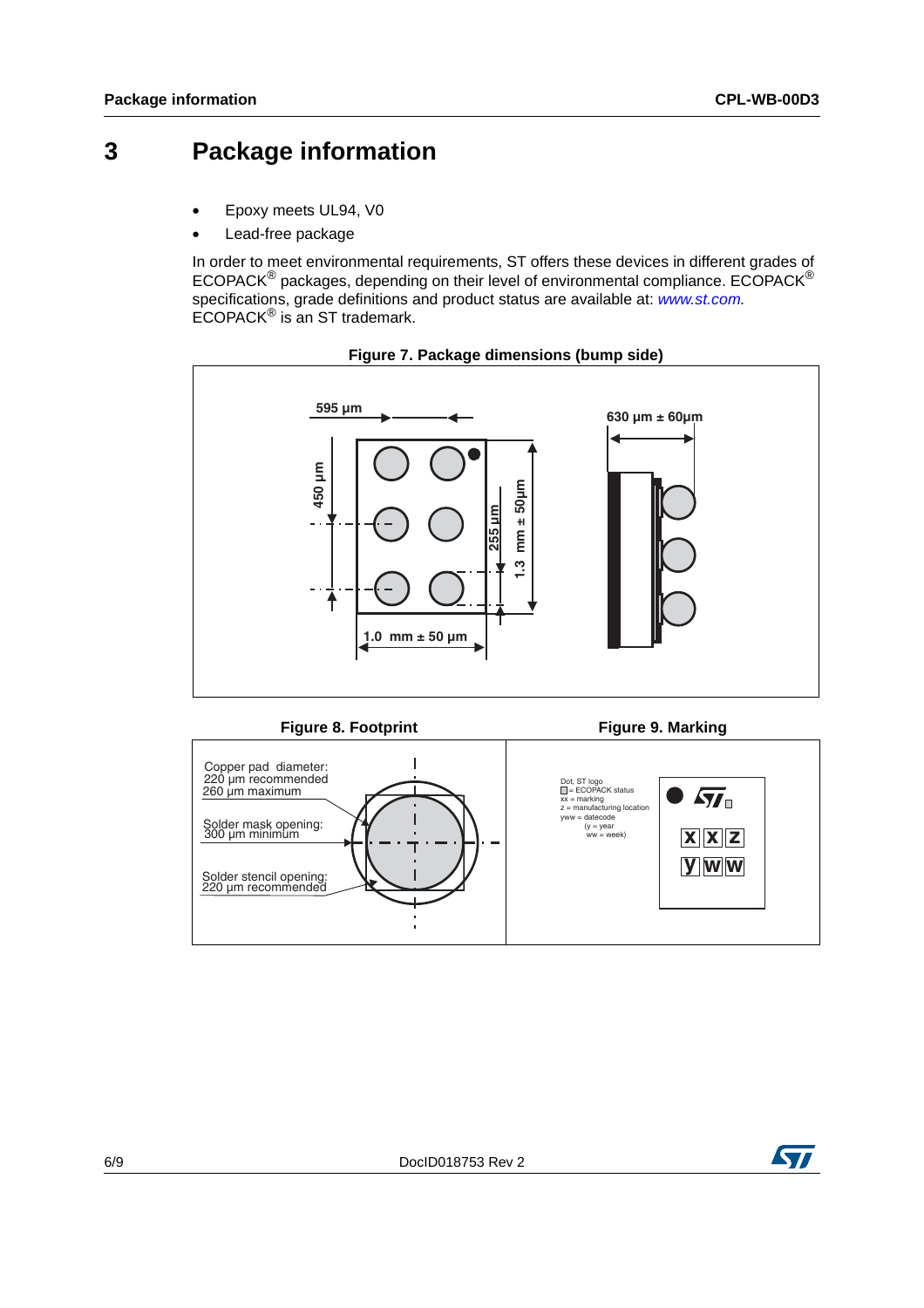## **3 Package information**

- Epoxy meets UL94, V0
- Lead-free package

In order to meet environmental requirements, ST offers these devices in different grades of ECOPACK® packages, depending on their level of environmental compliance. ECOPACK® specifications, grade definitions and product status are available at: *[www.st.com](http://www.st.com).* ECOPACK® is an ST trademark.





**Figure 8. Footprint Figure 9. Marking** 



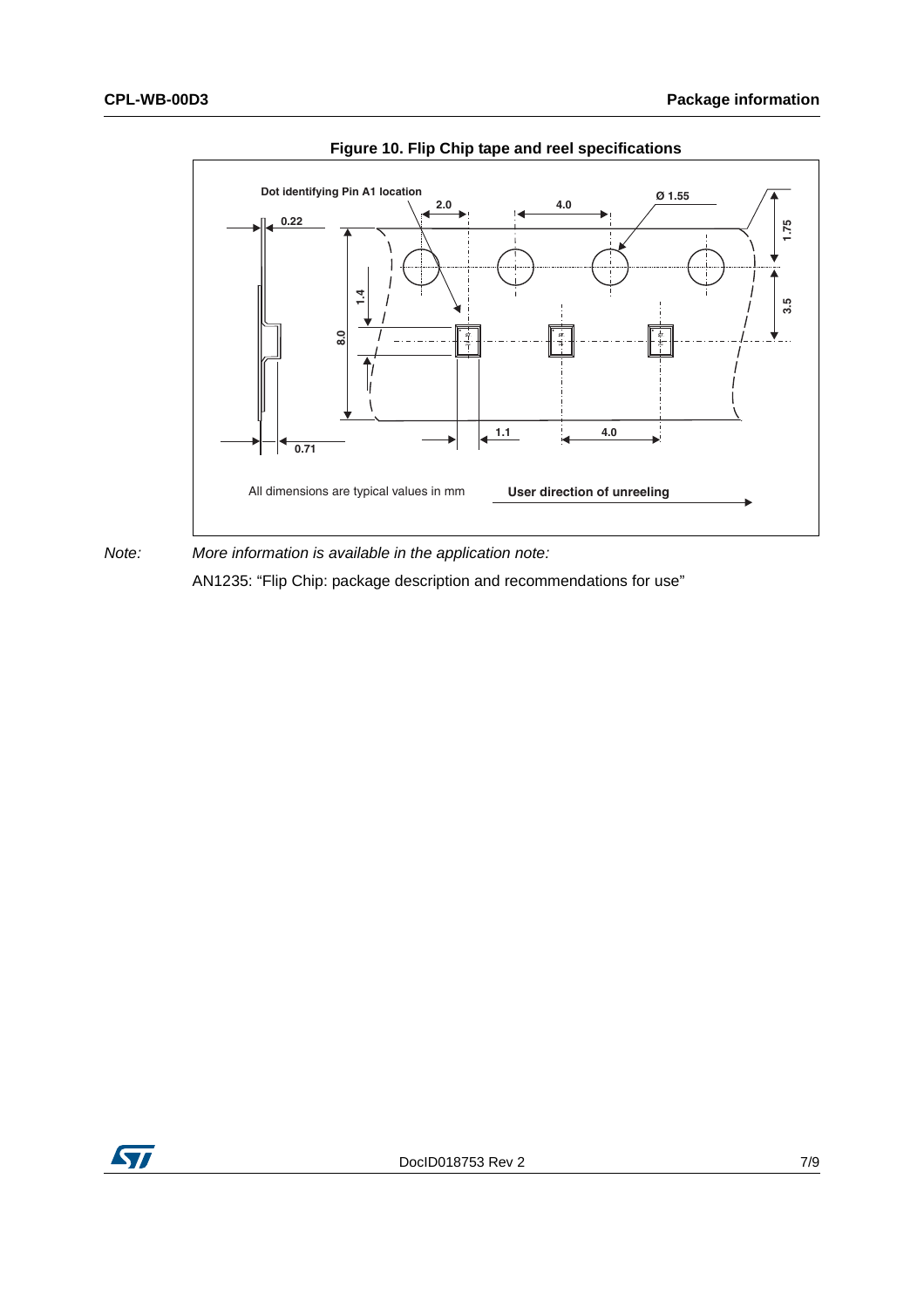

**Figure 10. Flip Chip tape and reel specifications**



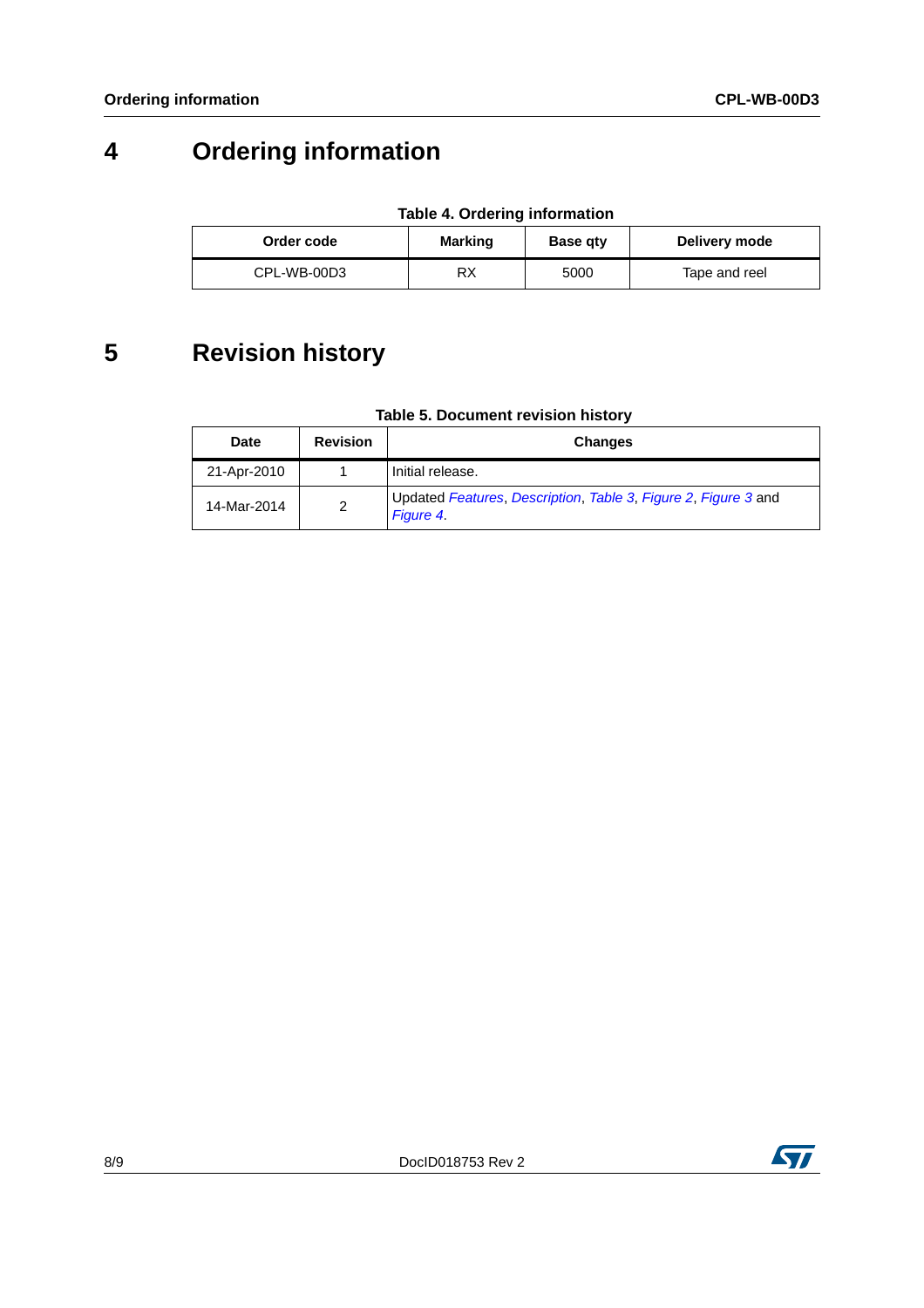# **4 Ordering information**

| Order code  | Marking | <b>Base gty</b> | Delivery mode |
|-------------|---------|-----------------|---------------|
| CPL-WB-00D3 | RX      | 5000            | Tape and reel |

# **5 Revision history**

| Table 5. Document revision history |
|------------------------------------|
|------------------------------------|

| <b>Date</b> | <b>Revision</b> | <b>Changes</b>                                                                    |
|-------------|-----------------|-----------------------------------------------------------------------------------|
| 21-Apr-2010 |                 | Initial release.                                                                  |
| 14-Mar-2014 | 2               | Updated Features, Description, Table 3, Figure 2, Figure 3 and<br><b>Figure 4</b> |

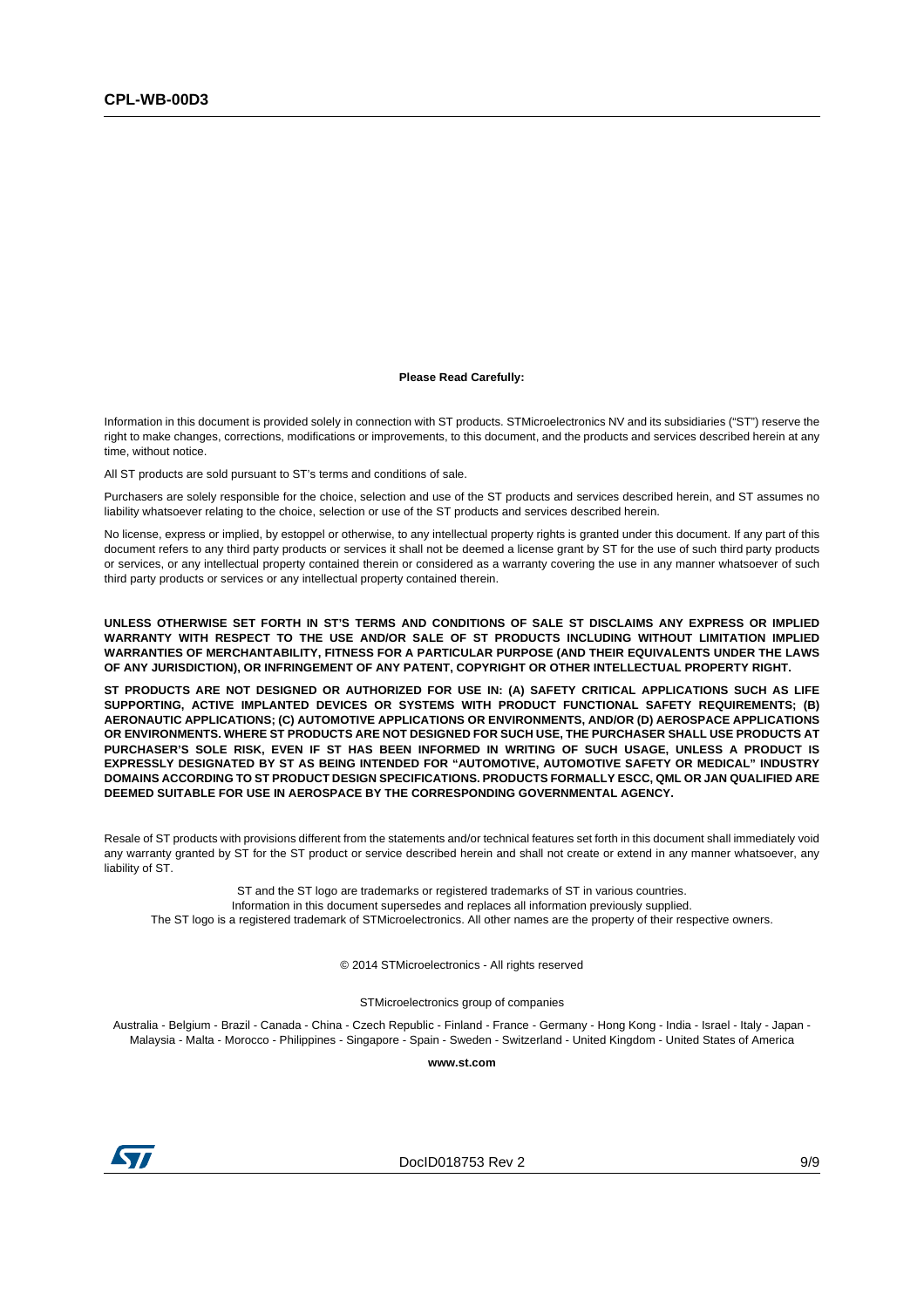#### **Please Read Carefully:**

Information in this document is provided solely in connection with ST products. STMicroelectronics NV and its subsidiaries ("ST") reserve the right to make changes, corrections, modifications or improvements, to this document, and the products and services described herein at any time, without notice.

All ST products are sold pursuant to ST's terms and conditions of sale.

Purchasers are solely responsible for the choice, selection and use of the ST products and services described herein, and ST assumes no liability whatsoever relating to the choice, selection or use of the ST products and services described herein.

No license, express or implied, by estoppel or otherwise, to any intellectual property rights is granted under this document. If any part of this document refers to any third party products or services it shall not be deemed a license grant by ST for the use of such third party products or services, or any intellectual property contained therein or considered as a warranty covering the use in any manner whatsoever of such third party products or services or any intellectual property contained therein.

**UNLESS OTHERWISE SET FORTH IN ST'S TERMS AND CONDITIONS OF SALE ST DISCLAIMS ANY EXPRESS OR IMPLIED WARRANTY WITH RESPECT TO THE USE AND/OR SALE OF ST PRODUCTS INCLUDING WITHOUT LIMITATION IMPLIED WARRANTIES OF MERCHANTABILITY, FITNESS FOR A PARTICULAR PURPOSE (AND THEIR EQUIVALENTS UNDER THE LAWS OF ANY JURISDICTION), OR INFRINGEMENT OF ANY PATENT, COPYRIGHT OR OTHER INTELLECTUAL PROPERTY RIGHT.**

**ST PRODUCTS ARE NOT DESIGNED OR AUTHORIZED FOR USE IN: (A) SAFETY CRITICAL APPLICATIONS SUCH AS LIFE SUPPORTING, ACTIVE IMPLANTED DEVICES OR SYSTEMS WITH PRODUCT FUNCTIONAL SAFETY REQUIREMENTS; (B) AERONAUTIC APPLICATIONS; (C) AUTOMOTIVE APPLICATIONS OR ENVIRONMENTS, AND/OR (D) AEROSPACE APPLICATIONS OR ENVIRONMENTS. WHERE ST PRODUCTS ARE NOT DESIGNED FOR SUCH USE, THE PURCHASER SHALL USE PRODUCTS AT PURCHASER'S SOLE RISK, EVEN IF ST HAS BEEN INFORMED IN WRITING OF SUCH USAGE, UNLESS A PRODUCT IS EXPRESSLY DESIGNATED BY ST AS BEING INTENDED FOR "AUTOMOTIVE, AUTOMOTIVE SAFETY OR MEDICAL" INDUSTRY DOMAINS ACCORDING TO ST PRODUCT DESIGN SPECIFICATIONS. PRODUCTS FORMALLY ESCC, QML OR JAN QUALIFIED ARE DEEMED SUITABLE FOR USE IN AEROSPACE BY THE CORRESPONDING GOVERNMENTAL AGENCY.**

Resale of ST products with provisions different from the statements and/or technical features set forth in this document shall immediately void any warranty granted by ST for the ST product or service described herein and shall not create or extend in any manner whatsoever, any liability of ST.

ST and the ST logo are trademarks or registered trademarks of ST in various countries. Information in this document supersedes and replaces all information previously supplied. The ST logo is a registered trademark of STMicroelectronics. All other names are the property of their respective owners.

© 2014 STMicroelectronics - All rights reserved

STMicroelectronics group of companies

Australia - Belgium - Brazil - Canada - China - Czech Republic - Finland - France - Germany - Hong Kong - India - Israel - Italy - Japan - Malaysia - Malta - Morocco - Philippines - Singapore - Spain - Sweden - Switzerland - United Kingdom - United States of America

**www.st.com**



DocID018753 Rev 2 9/9